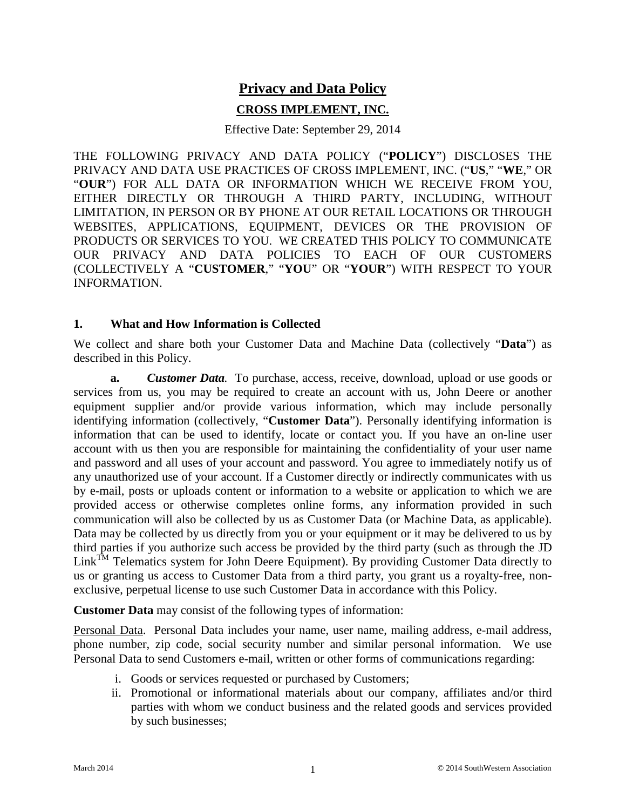# **Privacy and Data Policy**

### **CROSS IMPLEMENT, INC.**

Effective Date: September 29, 2014

THE FOLLOWING PRIVACY AND DATA POLICY ("**POLICY**") DISCLOSES THE PRIVACY AND DATA USE PRACTICES OF CROSS IMPLEMENT, INC. ("**US**," "**WE**," OR "**OUR**") FOR ALL DATA OR INFORMATION WHICH WE RECEIVE FROM YOU, EITHER DIRECTLY OR THROUGH A THIRD PARTY, INCLUDING, WITHOUT LIMITATION, IN PERSON OR BY PHONE AT OUR RETAIL LOCATIONS OR THROUGH WEBSITES, APPLICATIONS, EQUIPMENT, DEVICES OR THE PROVISION OF PRODUCTS OR SERVICES TO YOU. WE CREATED THIS POLICY TO COMMUNICATE OUR PRIVACY AND DATA POLICIES TO EACH OF OUR CUSTOMERS (COLLECTIVELY A "**CUSTOMER**," "**YOU**" OR "**YOUR**") WITH RESPECT TO YOUR INFORMATION.

#### **1. What and How Information is Collected**

We collect and share both your Customer Data and Machine Data (collectively "**Data**") as described in this Policy.

**a.** *Customer Data.* To purchase, access, receive, download, upload or use goods or services from us, you may be required to create an account with us, John Deere or another equipment supplier and/or provide various information, which may include personally identifying information (collectively, "**Customer Data**"). Personally identifying information is information that can be used to identify, locate or contact you. If you have an on-line user account with us then you are responsible for maintaining the confidentiality of your user name and password and all uses of your account and password. You agree to immediately notify us of any unauthorized use of your account. If a Customer directly or indirectly communicates with us by e-mail, posts or uploads content or information to a website or application to which we are provided access or otherwise completes online forms, any information provided in such communication will also be collected by us as Customer Data (or Machine Data, as applicable). Data may be collected by us directly from you or your equipment or it may be delivered to us by third parties if you authorize such access be provided by the third party (such as through the JD Link<sup>TM</sup> Telematics system for John Deere Equipment). By providing Customer Data directly to us or granting us access to Customer Data from a third party, you grant us a royalty-free, nonexclusive, perpetual license to use such Customer Data in accordance with this Policy.

**Customer Data** may consist of the following types of information:

Personal Data. Personal Data includes your name, user name, mailing address, e-mail address, phone number, zip code, social security number and similar personal information. We use Personal Data to send Customers e-mail, written or other forms of communications regarding:

- i. Goods or services requested or purchased by Customers;
- ii. Promotional or informational materials about our company, affiliates and/or third parties with whom we conduct business and the related goods and services provided by such businesses;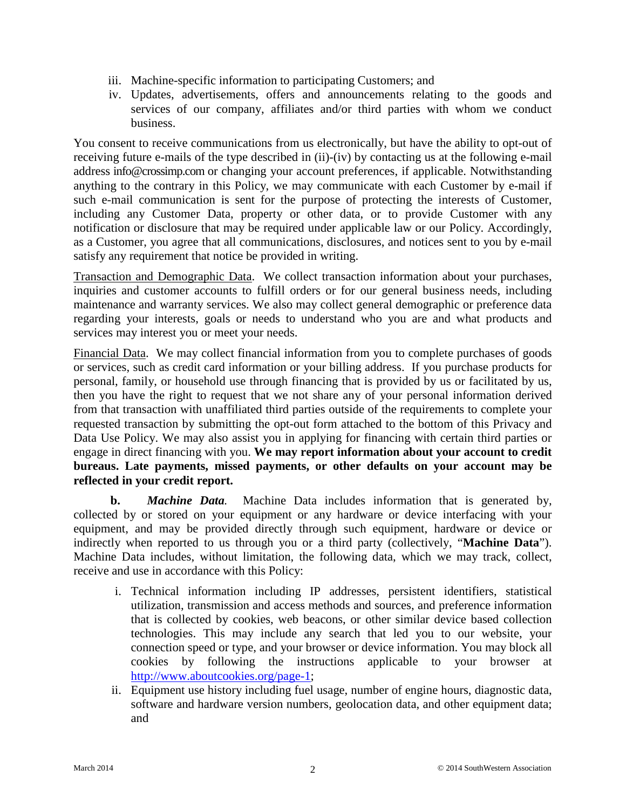- iii. Machine-specific information to participating Customers; and
- iv. Updates, advertisements, offers and announcements relating to the goods and services of our company, affiliates and/or third parties with whom we conduct business.

You consent to receive communications from us electronically, but have the ability to opt-out of receiving future e-mails of the type described in (ii)-(iv) by contacting us at the following e-mail address info@crossimp.com or changing your account preferences, if applicable. Notwithstanding anything to the contrary in this Policy, we may communicate with each Customer by e-mail if such e-mail communication is sent for the purpose of protecting the interests of Customer, including any Customer Data, property or other data, or to provide Customer with any notification or disclosure that may be required under applicable law or our Policy. Accordingly, as a Customer, you agree that all communications, disclosures, and notices sent to you by e-mail satisfy any requirement that notice be provided in writing.

Transaction and Demographic Data. We collect transaction information about your purchases, inquiries and customer accounts to fulfill orders or for our general business needs, including maintenance and warranty services. We also may collect general demographic or preference data regarding your interests, goals or needs to understand who you are and what products and services may interest you or meet your needs.

Financial Data. We may collect financial information from you to complete purchases of goods or services, such as credit card information or your billing address. If you purchase products for personal, family, or household use through financing that is provided by us or facilitated by us, then you have the right to request that we not share any of your personal information derived from that transaction with unaffiliated third parties outside of the requirements to complete your requested transaction by submitting the opt-out form attached to the bottom of this Privacy and Data Use Policy. We may also assist you in applying for financing with certain third parties or engage in direct financing with you. **We may report information about your account to credit bureaus. Late payments, missed payments, or other defaults on your account may be reflected in your credit report.** 

**b.** *Machine Data.* Machine Data includes information that is generated by, collected by or stored on your equipment or any hardware or device interfacing with your equipment, and may be provided directly through such equipment, hardware or device or indirectly when reported to us through you or a third party (collectively, "**Machine Data**"). Machine Data includes, without limitation, the following data, which we may track, collect, receive and use in accordance with this Policy:

- i. Technical information including IP addresses, persistent identifiers, statistical utilization, transmission and access methods and sources, and preference information that is collected by cookies, web beacons, or other similar device based collection technologies. This may include any search that led you to our website, your connection speed or type, and your browser or device information. You may block all cookies by following the instructions applicable to your browser at [http://www.aboutcookies.org/page-1;](http://www.aboutcookies.org/page-1)
- ii. Equipment use history including fuel usage, number of engine hours, diagnostic data, software and hardware version numbers, geolocation data, and other equipment data; and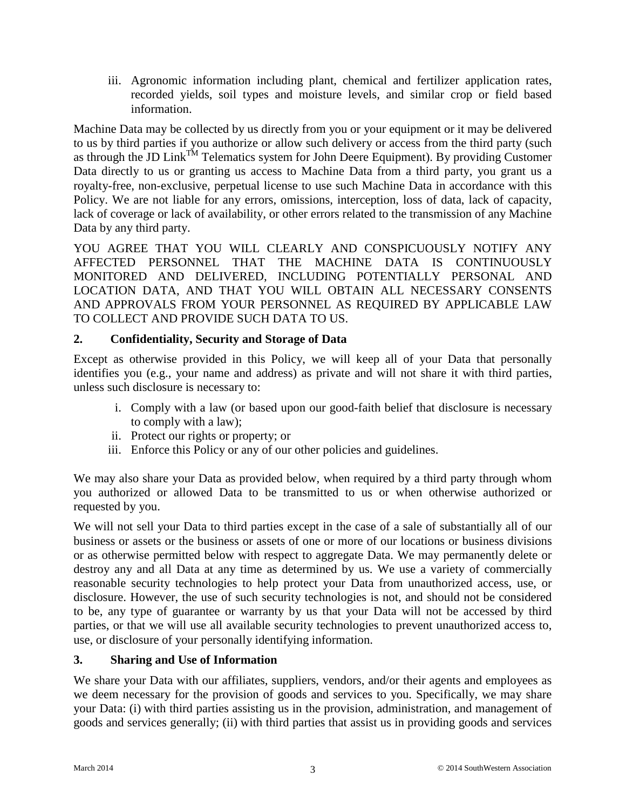iii. Agronomic information including plant, chemical and fertilizer application rates, recorded yields, soil types and moisture levels, and similar crop or field based information.

Machine Data may be collected by us directly from you or your equipment or it may be delivered to us by third parties if you authorize or allow such delivery or access from the third party (such as through the JD Link<sup>TM</sup> Telematics system for John Deere Equipment). By providing Customer Data directly to us or granting us access to Machine Data from a third party, you grant us a royalty-free, non-exclusive, perpetual license to use such Machine Data in accordance with this Policy. We are not liable for any errors, omissions, interception, loss of data, lack of capacity, lack of coverage or lack of availability, or other errors related to the transmission of any Machine Data by any third party.

YOU AGREE THAT YOU WILL CLEARLY AND CONSPICUOUSLY NOTIFY ANY AFFECTED PERSONNEL THAT THE MACHINE DATA IS CONTINUOUSLY MONITORED AND DELIVERED, INCLUDING POTENTIALLY PERSONAL AND LOCATION DATA, AND THAT YOU WILL OBTAIN ALL NECESSARY CONSENTS AND APPROVALS FROM YOUR PERSONNEL AS REQUIRED BY APPLICABLE LAW TO COLLECT AND PROVIDE SUCH DATA TO US.

## **2. Confidentiality, Security and Storage of Data**

Except as otherwise provided in this Policy, we will keep all of your Data that personally identifies you (e.g., your name and address) as private and will not share it with third parties, unless such disclosure is necessary to:

- i. Comply with a law (or based upon our good-faith belief that disclosure is necessary to comply with a law);
- ii. Protect our rights or property; or
- iii. Enforce this Policy or any of our other policies and guidelines.

We may also share your Data as provided below, when required by a third party through whom you authorized or allowed Data to be transmitted to us or when otherwise authorized or requested by you.

We will not sell your Data to third parties except in the case of a sale of substantially all of our business or assets or the business or assets of one or more of our locations or business divisions or as otherwise permitted below with respect to aggregate Data. We may permanently delete or destroy any and all Data at any time as determined by us. We use a variety of commercially reasonable security technologies to help protect your Data from unauthorized access, use, or disclosure. However, the use of such security technologies is not, and should not be considered to be, any type of guarantee or warranty by us that your Data will not be accessed by third parties, or that we will use all available security technologies to prevent unauthorized access to, use, or disclosure of your personally identifying information.

### **3. Sharing and Use of Information**

We share your Data with our affiliates, suppliers, vendors, and/or their agents and employees as we deem necessary for the provision of goods and services to you. Specifically, we may share your Data: (i) with third parties assisting us in the provision, administration, and management of goods and services generally; (ii) with third parties that assist us in providing goods and services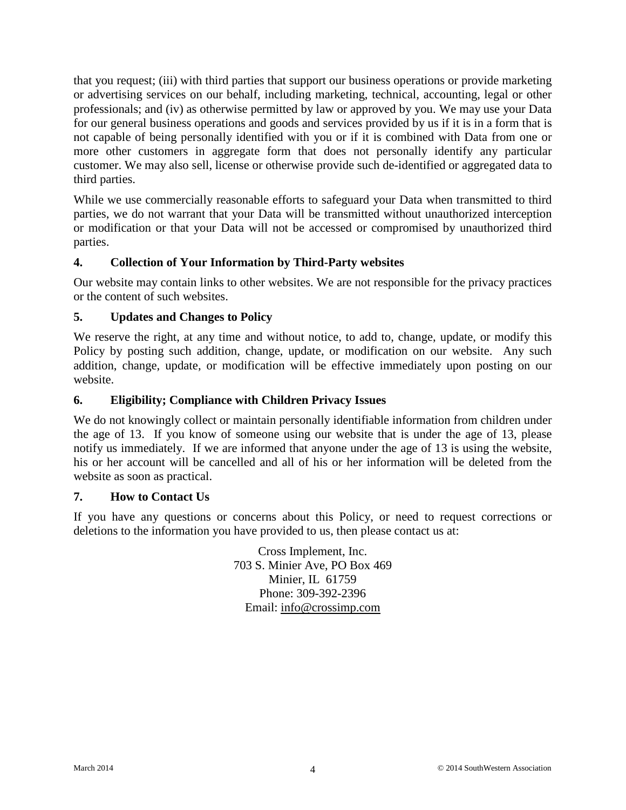that you request; (iii) with third parties that support our business operations or provide marketing or advertising services on our behalf, including marketing, technical, accounting, legal or other professionals; and (iv) as otherwise permitted by law or approved by you. We may use your Data for our general business operations and goods and services provided by us if it is in a form that is not capable of being personally identified with you or if it is combined with Data from one or more other customers in aggregate form that does not personally identify any particular customer. We may also sell, license or otherwise provide such de-identified or aggregated data to third parties.

While we use commercially reasonable efforts to safeguard your Data when transmitted to third parties, we do not warrant that your Data will be transmitted without unauthorized interception or modification or that your Data will not be accessed or compromised by unauthorized third parties.

## **4. Collection of Your Information by Third-Party websites**

Our website may contain links to other websites. We are not responsible for the privacy practices or the content of such websites.

### **5. Updates and Changes to Policy**

We reserve the right, at any time and without notice, to add to, change, update, or modify this Policy by posting such addition, change, update, or modification on our website. Any such addition, change, update, or modification will be effective immediately upon posting on our website.

### **6. Eligibility; Compliance with Children Privacy Issues**

We do not knowingly collect or maintain personally identifiable information from children under the age of 13. If you know of someone using our website that is under the age of 13, please notify us immediately. If we are informed that anyone under the age of 13 is using the website, his or her account will be cancelled and all of his or her information will be deleted from the website as soon as practical.

### **7. How to Contact Us**

If you have any questions or concerns about this Policy, or need to request corrections or deletions to the information you have provided to us, then please contact us at:

> Cross Implement, Inc. 703 S. Minier Ave, PO Box 469 Minier, IL 61759 Phone: 309-392-2396 Email: [info@crossimp.com](mailto:info@crossimp.com)